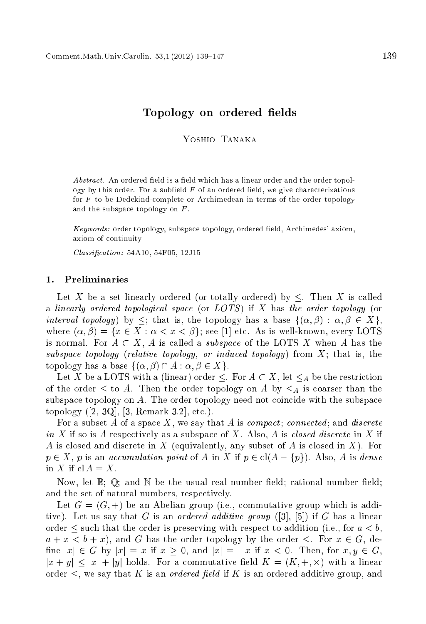# Topology on ordered elds

YOSHIO TANAKA

Abstract. An ordered field is a field which has a linear order and the order topology by this order. For a subfield  $F$  of an ordered field, we give characterizations for <sup>F</sup> to be Dedekindomplete or Ar
himedean in terms of the order topology and the subspace topology on  $F$ .

Keywords: order topology, subspace topology, ordered field, Archimedes' axiom, axiom of ontinuity

Classification: 54A10, 54F05, 12J15

### 1. Preliminaries

Let X be a set linearly ordered (or totally ordered) by  $\leq$ . Then X is called a linearly ordered topological space (or  $LOTS$ ) if X has the order topology (or interval topology) by  $\leq$ ; that is, the topology has a base  $\{(\alpha, \beta) : \alpha, \beta \in X\}$ , where  $(\alpha, \beta) = \{x \in X : \alpha < x < \beta\}$ ; see [1] etc. As is well-known, every LOTS is normal. For  $A \subset X$ , A is called a *subspace* of the LOTS X when A has the subspace topology (relative topology, or induced topology) from  $X$ ; that is, the topology has a base  $\{(\alpha, \beta) \cap A : \alpha, \beta \in X\}.$ 

Let X be a LOTS with a (linear) order  $\leq$ . For  $A \subset X$ , let  $\leq_A$  be the restriction of the order  $\leq$  to A. Then the order topology on A by  $\leq_A$  is coarser than the subspace topology on A. The order topology need not coincide with the subspace topology  $([2, 3Q], [3, Remark 3.2], etc.).$ 

For a subset A of a space X, we say that A is *compact*; *connected*; and *discrete* in X if so is A respectively as a subspace of X. Also, A is *closed discrete* in X if A is closed and discrete in X (equivalently, any subset of A is closed in X). For  $p \in X$ , p is an accumulation point of A in X if  $p \in cl(A - \{p\})$ . Also, A is dense in X if  $cl A = X$ .

Now, let  $\mathbb{R}$ :  $\mathbb{Q}$ : and  $\mathbb{N}$  be the usual real number field; rational number field; and the set of natural numbers, respectively.

Let  $G = (G, +)$  be an Abelian group (i.e., commutative group which is additive). Let us say that G is an *ordered additive group*  $([3], [5])$  if G has a linear order  $\leq$  such that the order is preserving with respect to addition (i.e., for  $a < b$ ,  $a + x < b + x$ , and G has the order topology by the order  $\leq$ . For  $x \in G$ , define  $|x| \in G$  by  $|x| = x$  if  $x \ge 0$ , and  $|x| = -x$  if  $x < 0$ . Then, for  $x, y \in G$ , jx + y<sup>j</sup> jxj + jyj holds. For a ommutative eld K = (K; +; -) with a linear order  $\leq$ , we say that K is an *ordered field* if K is an ordered additive group, and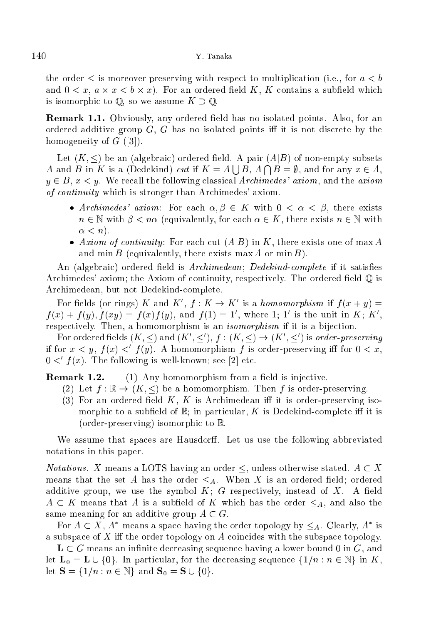the order  $\leq$  is moreover preserving with respect to multiplication (i.e., for  $a < b$ ) and 0 < x, a - x < b - x). For an ordered eld K, K ontains a subeld whi
h is isomorphic to  $\mathbb{Q}$ , so we assume  $K \supset \mathbb{Q}$ .

**Remark 1.1.** Obviously, any ordered field has no isolated points. Also, for an ordered additive group  $G$ ,  $G$  has no isolated points iff it is not discrete by the homogeneity of  $G$  ([3]).

Let  $(K, \leq)$  be an (algebraic) ordered field. A pair  $(A|B)$  of non-empty subsets A and B in K is a (Dedekind) cut if  $K = A \mid B, A \cap B = \emptyset$ , and for any  $x \in A$ .  $y \in B$ ,  $x \leq y$ . We recall the following classical Archimedes' axiom, and the axiom of continuity which is stronger than Archimedes' axiom.

- Archimedes' axiom: For each  $\alpha, \beta \in K$  with  $0 < \alpha < \beta$ , there exists  $n \in \mathbb{N}$  with  $\beta < n\alpha$  (equivalently, for each  $\alpha \in K$ , there exists  $n \in \mathbb{N}$  with  $\alpha < n$ ).
- axiom is forming and there is the part  $\mathcal{A}$  in  $\mathcal{A}$ and min  $B$  (equivalently, there exists max  $A$  or min  $B$ ).

An (algebraic) ordered field is *Archimedean*; *Dedekind-complete* if it satisfies Archimedes' axiom; the Axiom of continuity, respectively. The ordered field  $\mathbb{Q}$  is Ar
himedean, but not Dedekindomplete.

For netus (or rings) A and A,  $f : A \to A$  is a *homomorphism* if  $f(x + y) =$  $f(x) + f(y)$ ,  $f(xy) = f(x)f(y)$ , and  $f(1) = 1$ , where 1; 1 is the unit in  $K: K$ . respectively. Then, a homomorphism is an *isomorphism* if it is a bijection.

For ordered heids  $(K, \leq)$  and  $(K, \leq)$ ,  $f : (K, \leq) \to (K, \leq)$  is *order-preserving* if for  $x \leq y$ ,  $f(x) \leq f(y)$ . A homomorphism f is order-preserving in for  $0 \leq x$ .  $0 \leq t(x)$ . The following is well-known; see [2] etc.

Remark 1.2.  $(1)$  Any homomorphism from a field is injective.

- (2) Let  $f : \mathbb{R} \to (K, \leq)$  be a homomorphism. Then f is order-preserving.
- (3) For an ordered field  $K, K$  is Archimedean iff it is order-preserving isomorphic to a subfield of  $\mathbb{R}$ ; in particular, K is Dedekind-complete iff it is (order-preserving) isomorphi to R.

We assume that spaces are Hausdorff. Let us use the following abbreviated notations in this paper.

*Notations.* X means a LOTS having an order  $\leq$ , unless otherwise stated.  $A \subset X$ means that the set A has the order  $\leq_A$ . When X is an ordered field; ordered additive group, we use the symbol  $K$ ; G respectively, instead of X. A field  $A \subset K$  means that A is a subfield of K which has the order  $\leq_A$ , and also the same meaning for an additive group  $A \subset G$ .

For  $A \subseteq A$ , A means a space having the order topology by  $\leq_A$ . Clearly, A is a subspace of  $X$  iff the order topology on  $A$  coincides with the subspace topology.

 $\mathbf{L} \subset G$  means an infinite decreasing sequence having a lower bound 0 in  $G$ , and let  $\mathbf{L}_0 = \mathbf{L} \cup \{0\}$ . In particular, for the decreasing sequence  $\{1/n : n \in \mathbb{N}\}$  in K, let  $S = \{1/n : n \in \mathbb{N}\}\$ and  $S_0 = S \cup \{0\}.$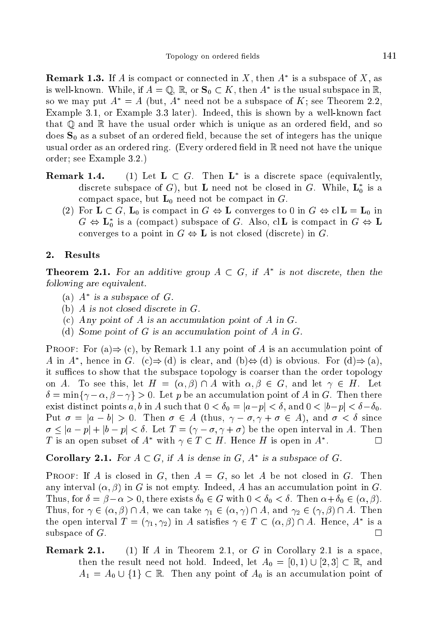**Remark 1.3.** If A is compact or connected in  $\Lambda$ , then A is a subspace of  $\Lambda$ , as is well-known. While, if  $A = \mathbb{Q}, \mathbb{R},$  or  $\mathfrak{I}_0 \subset \Lambda$ , then A is the usual subspace in  $\mathbb{R},$ so we may put  $A^* = A$  (but, A - need not be a subspace of  $K$ ; see Theorem 2.2, Example 3.1, or Example 3.3 later). Indeed, this is shown by a well-known fact that  $\mathbb Q$  and  $\mathbb R$  have the usual order which is unique as an ordered field, and so does  $S_0$  as a subset of an ordered field, because the set of integers has the unique usual order as an ordered ring. (Every ordered field in  $\mathbb R$  need not have the unique order; see Example 3.2.)

- Remark 1.4. (1) Let  $L \subset G$ . Then L is a discrete space (equivalently, discrete subspace of  $G$ ), but **L** need not be closed in  $G$ . While,  $L_0$  is a compact space, but  $L_0$  need not be compact in G.
	- (2) For  $L \subset G$ ,  $L_0$  is compact in  $G \Leftrightarrow L$  converges to 0 in  $G \Leftrightarrow c|L = L_0$  in  $G \Leftrightarrow L_0$  is a (compact) subspace of G. Also, cit is compact in  $G \Leftrightarrow L_0$ converges to a point in  $G \Leftrightarrow L$  is not closed (discrete) in G.

## 2. Results

**Theorem 2.1.** For an additive group  $A \subseteq G$ , if  $A$  is not discrete, then the following are equivalent.

- (a) A is a subspa
e of G.
- (b) A is not closed discrete in  $G$ .
- (c) Any point of A is an accumulation point of A in  $G$ .
- (d) Some point of  $G$  is an accumulation point of  $A$  in  $G$ .

**PROOF:** For (a)  $\Rightarrow$  (c), by Remark 1.1 any point of A is an accumulation point of A in A, hence in G.  $(C) \Rightarrow (0)$  is clear, and  $(D) \Leftrightarrow (0)$  is obvious. For  $(0) \Rightarrow (a)$ , it suffices to show that the subspace topology is coarser than the order topology on A. To see this, let  $H = (\alpha, \beta) \cap A$  with  $\alpha, \beta \in G$ , and let  $\gamma \in H$ . Let  $\delta = \min\{\gamma - \alpha, \beta - \gamma\} > 0$ . Let p be an accumulation point of A in G. Then there exist distinct points a, b in A such that  $0 < \delta_0 = |a-p| < \delta$ , and  $0 < |b-p| < \delta - \delta_0$ . Put  $\sigma = |a - b| > 0$ . Then  $\sigma \in A$  (thus,  $\gamma - \sigma, \gamma + \sigma \in A$ ), and  $\sigma < \delta$  since  $\sigma \leq |a-p| + |b-p| < \delta$ . Let  $T = (\gamma - \sigma, \gamma + \sigma)$  be the open interval in A. Then I is an open subset of A with  $\gamma \in I \subseteq H$ . Hence H is open in A

Corollary 2.1. For  $A \subseteq G$ , if A is dense in  $G$ , A is a subspace of  $G$ .

**PROOF:** If A is closed in G, then  $A = G$ , so let A be not closed in G. Then any interval  $(\alpha, \beta)$  in G is not empty. Indeed, A has an accumulation point in G. Thus, for  $\delta = \beta - \alpha > 0$ , there exists  $\delta_0 \in G$  with  $0 < \delta_0 < \delta$ . Then  $\alpha + \delta_0 \in (\alpha, \beta)$ . Thus, for  $\gamma \in (\alpha, \beta) \cap A$ , we can take  $\gamma_1 \in (\alpha, \gamma) \cap A$ , and  $\gamma_2 \in (\gamma, \beta) \cap A$ . Then the open interval  $T = (\gamma_1, \gamma_2)$  in A satisfies  $\gamma \in T \subset (\alpha, \beta) \cap A$ . Hence, A is a subspa
e of G.  $\Box$ 

**Remark 2.1.** (1) If A in Theorem 2.1, or G in Corollary 2.1 is a space, then the result need not hold. Indeed, let  $A_0 = [0, 1] \cup [2, 3] \subset \mathbb{R}$ , and  $A_1 = A_0 \cup \{1\} \subset \mathbb{R}$ . Then any point of  $A_0$  is an accumulation point of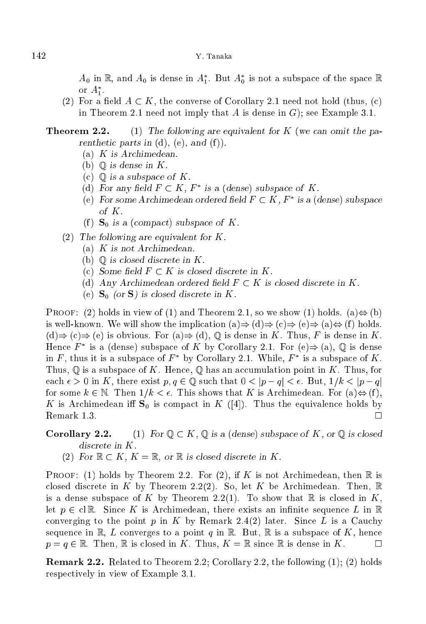$A_0$  in  $\mathbb{R}$ , and  $A_0$  is dense in  $A_1$ . But  $A_0$  is not a subspace of the space  $\mathbb{R}$ or  $A_1$ .

(2) For a field  $A \subset K$ , the converse of Corollary 2.1 need not hold (thus, (c) in Theorem 2.1 need not imply that A is dense in  $G$ ; see Example 3.1.

# **Theorem 2.2.** (1) The following are equivalent for K (we can omit the parent hetic parts in  $(d)$ ,  $(e)$ , and  $(f)$ ).

- (a) K is Ar
himedean.
- (b)  $\mathbb{Q}$  is dense in K.
- (c)  $\mathbb Q$  is a subspace of K.
- (a) for any neighborhood,  $F \subset K$ , is a (dense) subspace of K.
- (e) For some Archimedean ordered held  $F \subset K$ ,  $F$  is a (dense) subspace of K.
- (f)  $S_0$  is a (compact) subspace of K.
- (2) The following are equivalent for K.
	- (a) K is not Ar
	himedean.
	- (b)  $\mathbb Q$  is closed discrete in K.
	- (c) Some field  $F \subset K$  is closed discrete in K.
	- (d) Any Archimedean ordered field  $F \subset K$  is closed discrete in K.
	- (e)  $\mathbf{S}_0$  (or  $\mathbf{S}$ ) is closed discrete in K.

**PROOF:** (2) holds in view of (1) and Theorem 2.1, so we show (1) holds. (a) $\Leftrightarrow$  (b) is well-known. We will show the implication  $(a) \Rightarrow (d) \Rightarrow (e) \Rightarrow (e) \Rightarrow (a) \Leftrightarrow (f)$  holds.  $(d) \Rightarrow (c) \Rightarrow (e)$  is obvious. For  $(a) \Rightarrow (d)$ ,  $\mathbb Q$  is dense in K. Thus, F is dense in K. Hence  $F$  is a (dense) subspace of K by Corollary 2.1. For (e) $\Rightarrow$  (a),  $\cup$  is dense In F, thus it is a subspace of F by Corollary 2.1. While, F is a subspace of  $K$ . Thus,  $\mathbb Q$  is a subspace of K. Hence,  $\mathbb Q$  has an accumulation point in K. Thus, for each  $\epsilon > 0$  in K, there exist  $p, q \in \mathbb{Q}$  such that  $0 < |p - q| < \epsilon$ . But,  $1/k < |p - q|$ for some  $k \in \mathbb{N}$ . Then  $1/k < \epsilon$ . This shows that K is Archimedean. For  $(a) \Leftrightarrow (f)$ , K is Archimedean iff  $S_0$  is compact in K ([4]). Thus the equivalence holds by Remark 1.3.  $\Box$ 

# **Corollary 2.2.** (1) For  $\mathbb{Q} \subset K$ ,  $\mathbb{Q}$  is a (dense) subspace of K, or  $\mathbb{Q}$  is closed discrete in K.

(2) For  $\mathbb{R} \subset K$ ,  $K = \mathbb{R}$ , or  $\mathbb{R}$  is closed discrete in K.

PROOF: (1) holds by Theorem 2.2. For (2), if K is not Archimedean, then  $\mathbb R$  is closed discrete in K by Theorem 2.2(2). So, let K be Archimedean. Then,  $\mathbb R$ is a dense subspace of K by Theorem 2.2(1). To show that  $\mathbb R$  is closed in K, let  $p \in \text{cl } \mathbb{R}$ . Since K is Archimedean, there exists an infinite sequence L in  $\mathbb{R}$ converging to the point p in K by Remark 2.4(2) later. Since L is a Cauchy sequence in  $\mathbb{R}$ , L converges to a point q in  $\mathbb{R}$ . But,  $\mathbb{R}$  is a subspace of K, hence  $p = q \in \mathbb{R}$ . Then, R is closed in K. Thus,  $K = \mathbb{R}$  since R is dense in K.  $\Box$ 

Remark 2.2. Related to Theorem 2.2; Corollary 2.2, the following (1); (2) holds respe
tively in view of Example 3.1.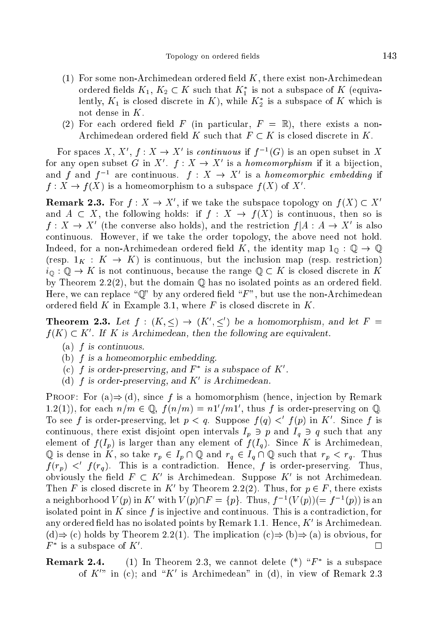- $(1)$  For some non-Archimedean ordered field K, there exist non-Archimedean ordered helds  $K_1, K_2 \subset K$  such that  $K_1$  is not a subspace of  $K$  (equivaiently,  $K_1$  is closed discrete in  $K_1$ , while  $K_2$  is a subspace of  $K$  which is not dense in K.
- (2) For each ordered field F (in particular,  $F = \mathbb{R}$ ), there exists a non-Archimedean ordered field K such that  $F \subset K$  is closed discrete in K.

For spaces  $A, A, f : A \to A$  is continuous if  $f^{-1}(G)$  is an open subset in  $A$ for any open subset G in  $X + J : X \to X$  is a *nomeomorphism* if it a bijection. and f and f are continuous.  $f : A \to A$  is a *nomeomorphic embedding* if  $f: A \to f(A)$  is a nomeomorphism to a subspace  $f(A)$  of  $A$ .

**Remark 2.3.** For  $I: A \to A$ , if we take the subspace topology on  $I(A) \subseteq A$ and  $A \subset X$ , the following holds: if  $f : X \to f(X)$  is continuous, then so is  $f: A \to A$  (the converse also holds), and the restriction  $f | A : A \to A$  is also ontinuous. However, if we take the order topology, the above need not hold. Indeed, for a non-Archimedean ordered field K, the identity map  $1_{\mathbb{O}} : \mathbb{Q} \to \mathbb{Q}$ (resp.  $1_K : K \to K$ ) is continuous, but the inclusion map (resp. restriction)  $i_{\mathbb{Q}} : \mathbb{Q} \to K$  is not continuous, because the range  $\mathbb{Q} \subset K$  is closed discrete in K by Theorem 2.2(2), but the domain  $\mathbb Q$  has no isolated points as an ordered field. Here, we can replace " $\mathbb{Q}$ " by any ordered field "F", but use the non-Archimedean ordered field  $K$  in Example 3.1, where  $F$  is closed discrete in  $K$ .

**Theorem 2.3.** Let  $f : (K, \leq) \to (K, \leq)$  be a nomomorphism, and let  $F =$  $f(K) \subseteq K$  . If K is Archimedean, then the following are equivalent.

- (a) f is ontinuous.
- (b)  $f$  is a homeomorphic embedding.
- (c) f is order-preserving, and  $\mathbf{r}_\perp$  is a subspace of  $\mathbf{K}_\perp$ .
- $\alpha$ ) is order-preserving, and  $\kappa$  is Archimedean.

PROOF: For  $(a) \Rightarrow (d)$ , since f is a homomorphism (hence, injection by Remark 1.2(1)), for each  $n/m \in \mathbb{Q}$ ,  $f(n/m) = n1/m1$ , thus f is order-preserving on  $\mathbb{Q}$ . To see f is order-preserving, let  $p < q$ . Suppose  $f(q) < f(p)$  in K since f is continuous, there exist disjoint open intervals  $I_p \ni p$  and  $I_q \ni q$  such that any element of  $f(I_p)$  is larger than any element of  $f(I_q)$ . Since K is Archimedean,  $\mathbb Q$  is dense in K, so take  $r_p \in I_p \cap \mathbb Q$  and  $r_q \in I_q \cap \mathbb Q$  such that  $r_p < r_q$ . Thus  $f(r_p)$   $\langle f(r_q) \rangle$ . This is a contradiction. Hence, f is order-preserving. Thus, obviously the held  $F \subset K$  is Archimedean. Suppose  $K$  is not Archimedean. Then F is closed discrete in K by Theorem 2.2(2). Thus, for  $p \in F$ , there exists a neighborhood  $V(p)$  in  $K$  with  $V(p)$   $\Gamma = \{p\}$ . Thus,  $f^{-1}(V(p))$   $\equiv f^{-1}(p)$  is an isolated point in K since f is injective and continuous. This is a contradiction, for any ordered field has no isolated points by Remark 1.1. Hence,  $K$  is Archimedean.  $(d) \Rightarrow$  (c) holds by Theorem 2.2(1). The implication  $(c) \Rightarrow$  (b)  $\Rightarrow$  (a) is obvious, for  $\Box$  $r$  is a subspace of  $\Lambda$ 

**Remark 2.4.** (1) In Theorem 2.5, we cannot defect ( $\Gamma$ )  $\Gamma$  is a subspace of  $K$  in (c); and  $K$  is Archimedean in (d), in view of Remark 2.3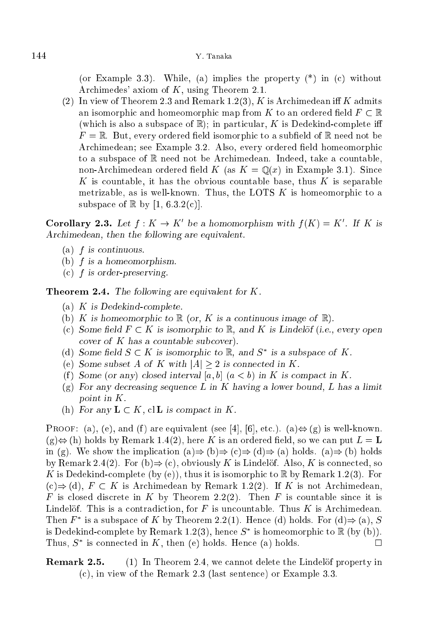(or Example 3.3). While, (a) implies the property  $(*)$  in (c) without Ar
himedes' axiom of K, using Theorem 2.1.

(2) In view of Theorem 2.3 and Remark 1.2(3), K is Archimedean iff K admits an isomorphic and homeomorphic map from K to an ordered field  $F \subset \mathbb{R}$ (which is also a subspace of  $\mathbb{R}$ ); in particular, K is Dedekind-complete iff  $F = \mathbb{R}$ . But, every ordered field isomorphic to a subfield of  $\mathbb{R}$  need not be Archimedean; see Example 3.2. Also, every ordered field homeomorphic to a subspace of  $\mathbb R$  need not be Archimedean. Indeed, take a countable, non-Archimedean ordered field K (as  $K = \mathbb{Q}(x)$  in Example 3.1). Since K is countable, it has the obvious countable base, thus K is separable metrizable, as is well-known. Thus, the LOTS  $K$  is homeomorphic to a subspace of  $\mathbb R$  by [1, 6.3.2(c)].

Corollary 2.3. Let  $f: K \to K$  be a homomorphism with  $f(K) = K$ . If K is Ar
himedean, then the following are equivalent.

- $(a)$  *f* is continuous.
- (b)  $f$  is a homeomorphism.
- $(c)$  *f* is order-preserving.

**Theorem 2.4.** The following are equivalent for  $K$ .

- (a) K is Dedekindomplete.
- (b) K is homeomorphic to  $\mathbb R$  (or, K is a continuous image of  $\mathbb R$ ).
- (c) Some field  $F \subset K$  is isomorphic to  $\mathbb{R}$ , and K is Lindelöf (i.e., every open cover of  $K$  has a countable subcover).
- (a) Some neight  $S \subseteq K$  is isomorphic to  $\mathbb{R}$ , and  $S$  is a subspace of  $K$ .
- (e) Some subset A of K with  $|A| \geq 2$  is connected in K.
- (f) Some (or any) closed interval  $[a, b]$   $(a < b)$  in K is compact in K.
- $(g)$  For any decreasing sequence L in K having a lower bound, L has a limit point in K.
- (h) For any  $L \subset K$ , cl L is compact in K.

**PROOF:** (a), (e), and (f) are equivalent (see [4], [6], etc.). (a)  $\Leftrightarrow$  (g) is well-known.  $(g) \Leftrightarrow$  (h) holds by Remark 1.4(2), here K is an ordered field, so we can put  $L = L$ in (g). We show the implication  $(a) \Rightarrow (b) \Rightarrow (c) \Rightarrow (d) \Rightarrow (a)$  holds.  $(a) \Rightarrow (b)$  holds by Remark 2.4(2). For (b)  $\Rightarrow$  (c), obviously K is Lindelöf. Also, K is connected, so K is Dedekind-complete (by (e)), thus it is isomorphic to  $\mathbb R$  by Remark 1.2(3). For  $(c) \Rightarrow (d)$ ,  $F \subset K$  is Archimedean by Remark 1.2(2). If K is not Archimedean, F is closed discrete in K by Theorem 2.2(2). Then F is countable since it is Lindelöf. This is a contradiction, for  $F$  is uncountable. Thus  $K$  is Archimedean. Then  $F$  is a subspace of  $K$  by Theorem 2.2(1). Hence (d) holds. For (d) $\Rightarrow$  (a),  $S$ is Dedekind-complete by Remark 1.2(3), hence  $S$  is homeomorphic to  $\mathbb R$  (by (b)).  $\Box$ I hus,  $S$  is connected in  $K$ , then (e) holds. Hence (a) holds.

**Remark 2.5.** (1) In Theorem 2.4, we cannot delete the Lindelof property in (
), in view of the Remark 2.3 (last senten
e) or Example 3.3.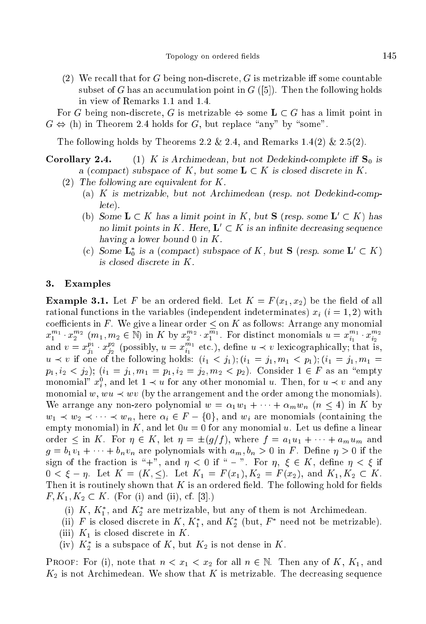(2) We recall that for G being non-discrete, G is metrizable iff some countable subset of G has an accumulation point in  $G$  ([5]). Then the following holds in view of Remarks 1.1 and 1.4.

For G being non-discrete, G is metrizable  $\Leftrightarrow$  some  $L \subset G$  has a limit point in  $G \Leftrightarrow$  (h) in Theorem 2.4 holds for G, but replace "any" by "some".

The following holds by Theorems 2.2  $\&$  2.4, and Remarks 1.4(2)  $\&$  2.5(2).

**Corollary 2.4.** (1) K is Archimedean, but not Dedekind-complete iff  $S_0$  is a (compact) subspace of K, but some  $\mathbf{L} \subset K$  is closed discrete in K.

- (2) The following are equivalent for  $K$ .
	- (a) K is metrizable, but not Ar
	himedean (resp. not Dedekindomplete).
	- (b) Some  $L \subset K$  has a limit point in K, but S (resp. some  $L' \subset K$ ) has no limit points in K. Here,  $L' \subset K$  is an infinite decreasing sequence having a lower bound  $0$  in  $K$ .
	- (c) Some  $L_0$  is a (compact) subspace of K, but S (resp. some  $L \subset K$ ) is losed dis
	rete in K.

#### 3. Examples

**Example 3.1.** Let F be an ordered field. Let  $K = F(x_1, x_2)$  be the field of all rational functions in the variables (independent indeterminates)  $x_i$  ( $i = 1, 2$ ) with  $x_1^{m_1} \cdot x_2^{m_2}$   $(m_1, m_2 \in \mathbb{N})$  in K by  $x_2^{m_2} \cdot x_1^{\overline{m}_1}$ . For distinct monomials  $u = x_{i_1}^{m_1} \cdot x_{i_2}^{m_2}$ and  $v = x_{j_1}^{p_1} \cdot x_{j_2}^{p_2}$  (possibly,  $u = x_{i_1}^{m_1}$  etc.), define  $u \prec v$  lexicographically; that is,  $u \prec v$  if one of the following holds:  $(i_1 \prec j_1); (i_1 = j_1, m_1 \prec p_1); (i_1 = j_1, m_1 = j_1)$  $p_1, i_2 < j_2$ );  $(i_1 = j_1, m_1 = p_1, i_2 = j_2, m_2 < p_2)$ . Consider  $1 \in F$  as an "empty monomial  $x_i$ , and let  $1 \prec u$  for any other monomial u. Then, for  $u \prec v$  and any monomial w,  $wu \prec wv$  (by the arrangement and the order among the monomials). We arrange any non-zero polynomial  $w = \alpha_1 w_1 + \cdots + \alpha_m w_n$   $(n \leq 4)$  in K by  $w_1 \prec w_2 \prec \cdots \prec w_n$ , here  $\alpha_i \in F - \{0\}$ , and  $w_i$  are monomials (containing the empty monomial) in K, and let  $0u = 0$  for any monomial u. Let us define a linear order  $\leq$  in K. For  $\eta \in K$ , let  $\eta = \pm (g/f)$ , where  $f = a_1u_1 + \cdots + a_mu_m$  and  $g = b_1v_1 + \cdots + b_nv_n$  are polynomials with  $a_m, b_n > 0$  in F. Define  $\eta > 0$  if the sign of the fraction is "+", and  $\eta < 0$  if " - ". For  $\eta, \xi \in K$ , define  $\eta < \xi$  if  $0 < \xi - \eta$ . Let  $K = (K, \leq)$ . Let  $K_1 = F(x_1), K_2 = F(x_2)$ , and  $K_1, K_2 \subset K$ . Then it is routinely shown that  $K$  is an ordered field. The following hold for fields  $F, K_1, K_2 \subset K$ . (For (i) and (ii), cf. [3].)

- (i)  $K, K_1$ , and  $K_2$  are metrizable, but any of them is not Archimedean.
- (ii)  $F$  is closed discrete in  $K$ ,  $K_1$ , and  $K_2$  (but,  $F$  need not be metrizable).
- (iii)  $K_1$  is closed discrete in K.
- (iv)  $K_2$  is a subspace of  $K$ , but  $K_2$  is not dense in  $K$ .

**PROOF:** For (i), note that  $n < x_1 < x_2$  for all  $n \in \mathbb{N}$ . Then any of K, K<sub>1</sub>, and  $K_2$  is not Archimedean. We show that K is metrizable. The decreasing sequence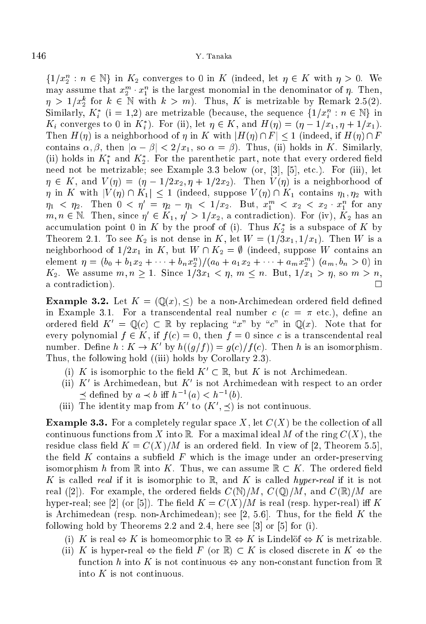$\{1/x_2^n : n \in \mathbb{N}\}\$  in  $K_2$  converges to 0 in K (indeed, let  $\eta \in K$  with  $\eta > 0$ . We may assume that  $x_2^m \cdot x_1^n$  is the largest monomial in the denominator of  $\eta$ . Then,  $\eta > 1/x_2^k$  for  $k \in \mathbb{N}$  with  $k > m$ ). Thus, K is metrizable by Remark 2.5(2). Similarly,  $K_i^*$  (i = 1,2) are metrizable (because, the sequence  $\{1/x_i^n : n \in \mathbb{N}\}\$  in  $K_i$  converges to 0 in  $K_i$ ). For (ii), let  $\eta \in K$ , and  $H(\eta) = (\eta - 1/x_1, \eta + 1/x_1)$ . Then  $H(\eta)$  is a neighborhood of  $\eta$  in K with  $|H(\eta) \cap F| < 1$  (indeed, if  $H(\eta) \cap F$ contains  $\alpha, \beta$ , then  $|\alpha - \beta| < 2/x_1$ , so  $\alpha = \beta$ ). Thus, (ii) holds in K. Similarly, (ii) holds in  $K_1$  and  $K_2$ . For the parenthetic part, note that every ordered held need not be metrizable; see Example 3.3 below (or,  $[3]$ ,  $[5]$ , etc.). For (iii), let  $\eta \in K$ , and  $V(\eta) = (\eta - 1/2x_2, \eta + 1/2x_2)$ . Then  $V(\eta)$  is a neighborhood of  $\eta$  in K with  $|V(\eta) \cap K_1| \leq 1$  (indeed, suppose  $V(\eta) \cap K_1$  contains  $\eta_1, \eta_2$  with  $\eta_1 \leq \eta_2$ . Then  $0 \leq \eta' = \eta_2 - \eta_1 \leq 1/x_2$ . But,  $x_1^m \leq x_2 \leq x_2 \cdot x_1^n$  for any  $m, n \in \mathbb{N}$ . Then, since  $\eta \in \mathbb{N}_1$ ,  $\eta > 1/\bar{x}_2$ , a contradiction). For (iv),  $\mathbb{N}_2$  has an accumulation point  $\sigma$  in  $K$  by the proof of (i). Thus  $K_2$  is a subspace of  $K$  by Theorem 2.1. To see  $K_2$  is not dense in K, let  $W = (1/3x_1, 1/x_1)$ . Then W is a neighborhood of  $1/2x_1$  in K, but  $W \cap K_2 = \emptyset$  (indeed, suppose W contains an element  $\eta = (b_0 + b_1x_2 + \cdots + b_nx_2^n)/(a_0 + a_1x_2 + \cdots + a_mx_2^m)$   $(a_m, b_n > 0)$  in  $K_2$ . We assume  $m, n \ge 1$ . Since  $1/3x_1 < \eta, m \le n$ . But,  $1/x_1 > \eta$ , so  $m > n$ , a contradiction).

**Example 3.2.** Let  $K = (\mathbb{Q}(x), \leq)$  be a non-Archimedean ordered field defined in Example 3.1. For a transcendental real number  $c$  ( $c = \pi$  etc.), define an ordered field  $K' = \mathbb{Q}(c) \subset \mathbb{R}$  by replacing "x" by "c" in  $\mathbb{Q}(x)$ . Note that for every polynomial  $f \in K$ , if  $f(c) = 0$ , then  $f = 0$  since c is a transcendental real number. Denne  $n : \mathbb{N} \to \mathbb{N}$  by  $h((g/f)) = g(c)/f(c)$ . Then h is an isomorphism. Thus, the following hold ((iii) holds by Corollary 2.3).

- (i) K is isomorphic to the field  $K' \subset \mathbb{R}$ , but K is not Archimedean.
- $(n)$  K is Archimedean, but K is not Archimedean with respect to an order  $\supset$  defined by  $a \preceq b$  in  $n^{-1}(a) \leq n^{-1}(b)$ .
- (iii) The identity map from  $K$  to  $(K, \neg)$  is not continuous.

**Example 3.3.** For a completely regular space X, let  $C(X)$  be the collection of all continuous functions from X into R. For a maximal ideal M of the ring  $C(X)$ , the residue class field  $K = C(X)/M$  is an ordered field. In view of [2, Theorem 5.5], the field  $K$  contains a subfield  $F$  which is the image under an order-preserving isomorphism h from  $\mathbb R$  into K. Thus, we can assume  $\mathbb R \subset K$ . The ordered field K is called real if it is isomorphic to R, and K is called hyper-real if it is not real ([2]). For example, the ordered fields  $C(\mathbb{N})/M$ ,  $C(\mathbb{Q})/M$ , and  $C(\mathbb{R})/M$  are hyper-real; see [2] (or [5]). The field  $K = C(X)/M$  is real (resp. hyper-real) iff K is Archimedean (resp. non-Archimedean); see [2, 5.6]. Thus, for the field  $K$  the following hold by Theorems 2.2 and 2.4, here see  $[3]$  or  $[5]$  for  $(i)$ .

- (i) K is real  $\Leftrightarrow$  K is homeomorphic to  $\mathbb{R} \Leftrightarrow K$  is Lindelöf  $\Leftrightarrow K$  is metrizable.
- (ii) K is hyper-real  $\Leftrightarrow$  the field F (or  $\mathbb{R}$ )  $\subset K$  is closed discrete in  $K \Leftrightarrow$  the function h into K is not continuous  $\Leftrightarrow$  any non-constant function from R into  $K$  is not continuous.